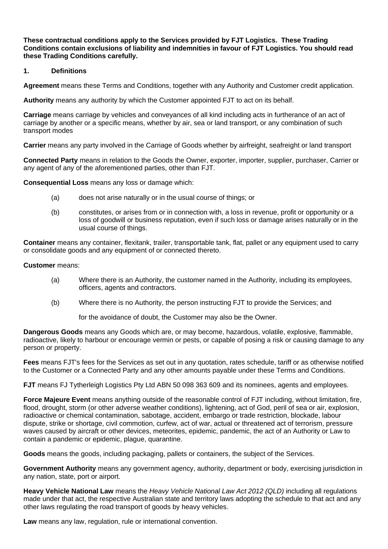**These contractual conditions apply to the Services provided by FJT Logistics. These Trading Conditions contain exclusions of liability and indemnities in favour of FJT Logistics. You should read these Trading Conditions carefully.**

## **1. Definitions**

**Agreement** means these Terms and Conditions, together with any Authority and Customer credit application.

**Authority** means any authority by which the Customer appointed FJT to act on its behalf.

**Carriage** means carriage by vehicles and conveyances of all kind including acts in furtherance of an act of carriage by another or a specific means, whether by air, sea or land transport, or any combination of such transport modes

**Carrier** means any party involved in the Carriage of Goods whether by airfreight, seafreight or land transport

**Connected Party** means in relation to the Goods the Owner, exporter, importer, supplier, purchaser, Carrier or any agent of any of the aforementioned parties, other than FJT.

**Consequential Loss** means any loss or damage which:

- (a) does not arise naturally or in the usual course of things; or
- (b) constitutes, or arises from or in connection with, a loss in revenue, profit or opportunity or a loss of goodwill or business reputation, even if such loss or damage arises naturally or in the usual course of things.

**Container** means any container, flexitank, trailer, transportable tank, flat, pallet or any equipment used to carry or consolidate goods and any equipment of or connected thereto.

#### **Customer** means:

- (a) Where there is an Authority, the customer named in the Authority, including its employees, officers, agents and contractors.
- (b) Where there is no Authority, the person instructing FJT to provide the Services; and

for the avoidance of doubt, the Customer may also be the Owner.

**Dangerous Goods** means any Goods which are, or may become, hazardous, volatile, explosive, flammable, radioactive, likely to harbour or encourage vermin or pests, or capable of posing a risk or causing damage to any person or property.

**Fees** means FJT's fees for the Services as set out in any quotation, rates schedule, tariff or as otherwise notified to the Customer or a Connected Party and any other amounts payable under these Terms and Conditions.

**FJT** means FJ Tytherleigh Logistics Pty Ltd ABN 50 098 363 609 and its nominees, agents and employees.

**Force Majeure Event** means anything outside of the reasonable control of FJT including, without limitation, fire, flood, drought, storm (or other adverse weather conditions), lightening, act of God, peril of sea or air, explosion, radioactive or chemical contamination, sabotage, accident, embargo or trade restriction, blockade, labour dispute, strike or shortage, civil commotion, curfew, act of war, actual or threatened act of terrorism, pressure waves caused by aircraft or other devices, meteorites, epidemic, pandemic, the act of an Authority or Law to contain a pandemic or epidemic, plague, quarantine.

**Goods** means the goods, including packaging, pallets or containers, the subject of the Services.

**Government Authority** means any government agency, authority, department or body, exercising jurisdiction in any nation, state, port or airport.

**Heavy Vehicle National Law** means the *Heavy Vehicle National Law Act 2012 (QLD)* including all regulations made under that act, the respective Australian state and territory laws adopting the schedule to that act and any other laws regulating the road transport of goods by heavy vehicles.

**Law** means any law, regulation, rule or international convention.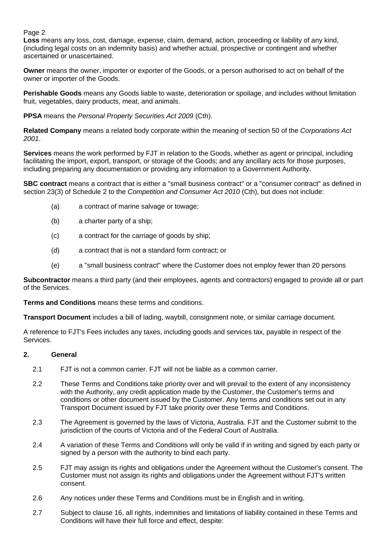## Page 2

**Loss** means any loss, cost, damage, expense, claim, demand, action, proceeding or liability of any kind, (including legal costs on an indemnity basis) and whether actual, prospective or contingent and whether ascertained or unascertained.

**Owner** means the owner, importer or exporter of the Goods, or a person authorised to act on behalf of the owner or importer of the Goods.

**Perishable Goods** means any Goods liable to waste, deterioration or spoilage, and includes without limitation fruit, vegetables, dairy products, meat, and animals.

**PPSA** means the *Personal Property Securities Act 2009* (Cth).

**Related Company** means a related body corporate within the meaning of section 50 of the *Corporations Act 2001*.

**Services** means the work performed by FJT in relation to the Goods, whether as agent or principal, including facilitating the import, export, transport, or storage of the Goods; and any ancillary acts for those purposes, including preparing any documentation or providing any information to a Government Authority.

**SBC contract** means a contract that is either a "small business contract" or a "consumer contract" as defined in section 23(3) of Schedule 2 to the *Competition and Consumer Act 2010* (Cth), but does not include:

- (a) a contract of marine salvage or towage;
- (b) a charter party of a ship;
- (c) a contract for the carriage of goods by ship;
- (d) a contract that is not a standard form contract; or
- (e) a "small business contract" where the Customer does not employ fewer than 20 persons

**Subcontractor** means a third party (and their employees, agents and contractors) engaged to provide all or part of the Services.

**Terms and Conditions** means these terms and conditions.

**Transport Document** includes a bill of lading, waybill, consignment note, or similar carriage document.

A reference to FJT's Fees includes any taxes, including goods and services tax, payable in respect of the Services.

### **2. General**

- 2.1 FJT is not a common carrier. FJT will not be liable as a common carrier.
- 2.2 These Terms and Conditions take priority over and will prevail to the extent of any inconsistency with the Authority, any credit application made by the Customer, the Customer's terms and conditions or other document issued by the Customer. Any terms and conditions set out in any Transport Document issued by FJT take priority over these Terms and Conditions.
- 2.3 The Agreement is governed by the laws of Victoria, Australia. FJT and the Customer submit to the jurisdiction of the courts of Victoria and of the Federal Court of Australia.
- 2.4 A variation of these Terms and Conditions will only be valid if in writing and signed by each party or signed by a person with the authority to bind each party.
- <span id="page-1-1"></span>2.5 FJT may assign its rights and obligations under the Agreement without the Customer's consent. The Customer must not assign its rights and obligations under the Agreement without FJT's written consent.
- 2.6 Any notices under these Terms and Conditions must be in English and in writing.
- <span id="page-1-0"></span>2.7 Subject to clause [16,](#page-8-0) all rights, indemnities and limitations of liability contained in these Terms and Conditions will have their full force and effect, despite: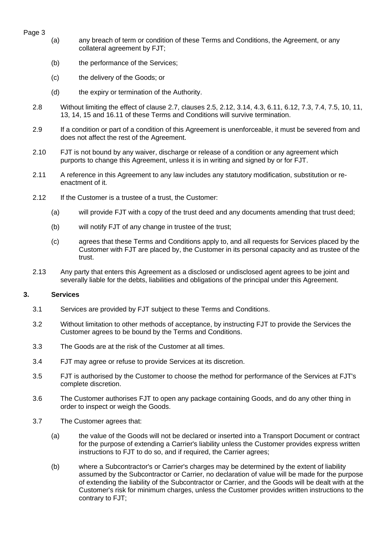- Page 3
- (a) any breach of term or condition of these Terms and Conditions, the Agreement, or any collateral agreement by FJT;
- (b) the performance of the Services;
- (c) the delivery of the Goods; or
- (d) the expiry or termination of the Authority.
- 2.8 Without limiting the effect of clause [2.7,](#page-1-0) clauses [2.5,](#page-1-1) 2.12, [3.14,](#page-3-0) 4.3, 6.11, 6.12, [7.3,](#page-5-0) [7.4,](#page-5-1) [7.5,](#page-5-2) 10, 11, [13,](#page-7-0) [14,](#page-7-1) [15](#page-8-1) and 16.11 of these Terms and Conditions will survive termination.
- 2.9 If a condition or part of a condition of this Agreement is unenforceable, it must be severed from and does not affect the rest of the Agreement.
- 2.10 FJT is not bound by any waiver, discharge or release of a condition or any agreement which purports to change this Agreement, unless it is in writing and signed by or for FJT.
- 2.11 A reference in this Agreement to any law includes any statutory modification, substitution or reenactment of it.
- 2.12 If the Customer is a trustee of a trust, the Customer:
	- (a) will provide FJT with a copy of the trust deed and any documents amending that trust deed;
	- (b) will notify FJT of any change in trustee of the trust;
	- (c) agrees that these Terms and Conditions apply to, and all requests for Services placed by the Customer with FJT are placed by, the Customer in its personal capacity and as trustee of the trust.
- 2.13 Any party that enters this Agreement as a disclosed or undisclosed agent agrees to be joint and severally liable for the debts, liabilities and obligations of the principal under this Agreement.

### **3. Services**

- 3.1 Services are provided by FJT subject to these Terms and Conditions.
- 3.2 Without limitation to other methods of acceptance, by instructing FJT to provide the Services the Customer agrees to be bound by the Terms and Conditions.
- 3.3 The Goods are at the risk of the Customer at all times.
- 3.4 FJT may agree or refuse to provide Services at its discretion.
- 3.5 FJT is authorised by the Customer to choose the method for performance of the Services at FJT's complete discretion.
- 3.6 The Customer authorises FJT to open any package containing Goods, and do any other thing in order to inspect or weigh the Goods.
- 3.7 The Customer agrees that:
	- (a) the value of the Goods will not be declared or inserted into a Transport Document or contract for the purpose of extending a Carrier's liability unless the Customer provides express written instructions to FJT to do so, and if required, the Carrier agrees;
	- (b) where a Subcontractor's or Carrier's charges may be determined by the extent of liability assumed by the Subcontractor or Carrier, no declaration of value will be made for the purpose of extending the liability of the Subcontractor or Carrier, and the Goods will be dealt with at the Customer's risk for minimum charges, unless the Customer provides written instructions to the contrary to FJT;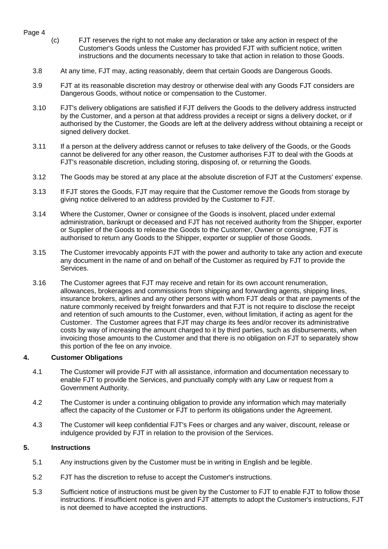- <span id="page-3-1"></span>Page 4
	- (c) FJT reserves the right to not make any declaration or take any action in respect of the Customer's Goods unless the Customer has provided FJT with sufficient notice, written instructions and the documents necessary to take that action in relation to those Goods.
	- 3.8 At any time, FJT may, acting reasonably, deem that certain Goods are Dangerous Goods.
	- 3.9 FJT at its reasonable discretion may destroy or otherwise deal with any Goods FJT considers are Dangerous Goods, without notice or compensation to the Customer.
	- 3.10 FJT's delivery obligations are satisfied if FJT delivers the Goods to the delivery address instructed by the Customer, and a person at that address provides a receipt or signs a delivery docket, or if authorised by the Customer, the Goods are left at the delivery address without obtaining a receipt or signed delivery docket.
	- 3.11 If a person at the delivery address cannot or refuses to take delivery of the Goods, or the Goods cannot be delivered for any other reason, the Customer authorises FJT to deal with the Goods at FJT's reasonable discretion, including storing, disposing of, or returning the Goods.
	- 3.12 The Goods may be stored at any place at the absolute discretion of FJT at the Customers' expense.
	- 3.13 If FJT stores the Goods, FJT may require that the Customer remove the Goods from storage by giving notice delivered to an address provided by the Customer to FJT.
	- 3.14 Where the Customer, Owner or consignee of the Goods is insolvent, placed under external administration, bankrupt or deceased and FJT has not received authority from the Shipper, exporter or Supplier of the Goods to release the Goods to the Customer, Owner or consignee, FJT is authorised to return any Goods to the Shipper, exporter or supplier of those Goods.
	- 3.15 The Customer irrevocably appoints FJT with the power and authority to take any action and execute any document in the name of and on behalf of the Customer as required by FJT to provide the Services.
	- 3.16 The Customer agrees that FJT may receive and retain for its own account renumeration, allowances, brokerages and commissions from shipping and forwarding agents, shipping lines, insurance brokers, airlines and any other persons with whom FJT deals or that are payments of the nature commonly received by freight forwarders and that FJT is not require to disclose the receipt and retention of such amounts to the Customer, even, without limitation, if acting as agent for the Customer. The Customer agrees that FJT may charge its fees and/or recover its administrative costs by way of increasing the amount charged to it by third parties, such as disbursements, when invoicing those amounts to the Customer and that there is no obligation on FJT to separately show this portion of the fee on any invoice.

### <span id="page-3-0"></span>**4. Customer Obligations**

- 4.1 The Customer will provide FJT with all assistance, information and documentation necessary to enable FJT to provide the Services, and punctually comply with any Law or request from a Government Authority.
- 4.2 The Customer is under a continuing obligation to provide any information which may materially affect the capacity of the Customer or FJT to perform its obligations under the Agreement.
- 4.3 The Customer will keep confidential FJT's Fees or charges and any waiver, discount, release or indulgence provided by FJT in relation to the provision of the Services.

# **5. Instructions**

- 5.1 Any instructions given by the Customer must be in writing in English and be legible.
- 5.2 FJT has the discretion to refuse to accept the Customer's instructions.
- 5.3 Sufficient notice of instructions must be given by the Customer to FJT to enable FJT to follow those instructions. If insufficient notice is given and FJT attempts to adopt the Customer's instructions, FJT is not deemed to have accepted the instructions.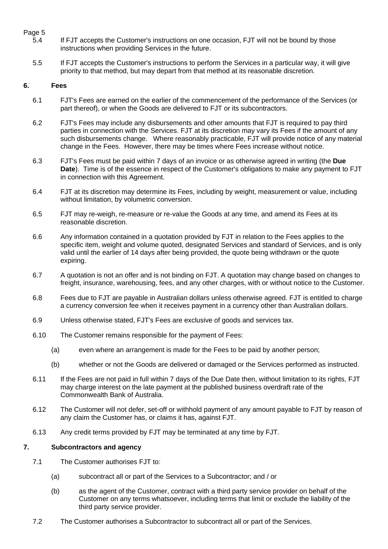# Page 5<br>5.4

- If FJT accepts the Customer's instructions on one occasion, FJT will not be bound by those instructions when providing Services in the future.
- 5.5 If FJT accepts the Customer's instructions to perform the Services in a particular way, it will give priority to that method, but may depart from that method at its reasonable discretion.

### **6. Fees**

- <span id="page-4-0"></span>6.1 FJT's Fees are earned on the earlier of the commencement of the performance of the Services (or part thereof), or when the Goods are delivered to FJT or its subcontractors.
- 6.2 FJT's Fees may include any disbursements and other amounts that FJT is required to pay third parties in connection with the Services. FJT at its discretion may vary its Fees if the amount of any such disbursements change. Where reasonably practicable, FJT will provide notice of any material change in the Fees. However, there may be times where Fees increase without notice.
- 6.3 FJT's Fees must be paid within 7 days of an invoice or as otherwise agreed in writing (the **Due Date**). Time is of the essence in respect of the Customer's obligations to make any payment to FJT in connection with this Agreement.
- <span id="page-4-1"></span>6.4 FJT at its discretion may determine its Fees, including by weight, measurement or value, including without limitation, by volumetric conversion.
- <span id="page-4-2"></span>6.5 FJT may re-weigh, re-measure or re-value the Goods at any time, and amend its Fees at its reasonable discretion.
- 6.6 Any information contained in a quotation provided by FJT in relation to the Fees applies to the specific item, weight and volume quoted, designated Services and standard of Services, and is only valid until the earlier of 14 days after being provided, the quote being withdrawn or the quote expiring.
- 6.7 A quotation is not an offer and is not binding on FJT. A quotation may change based on changes to freight, insurance, warehousing, fees, and any other charges, with or without notice to the Customer.
- 6.8 Fees due to FJT are payable in Australian dollars unless otherwise agreed. FJT is entitled to charge a currency conversion fee when it receives payment in a currency other than Australian dollars.
- 6.9 Unless otherwise stated, FJT's Fees are exclusive of goods and services tax.
- 6.10 The Customer remains responsible for the payment of Fees:
	- (a) even where an arrangement is made for the Fees to be paid by another person;
	- (b) whether or not the Goods are delivered or damaged or the Services performed as instructed.
- 6.11 If the Fees are not paid in full within 7 days of the Due Date then, without limitation to its rights, FJT may charge interest on the late payment at the published business overdraft rate of the Commonwealth Bank of Australia.
- 6.12 The Customer will not defer, set-off or withhold payment of any amount payable to FJT by reason of any claim the Customer has, or claims it has, against FJT.
- 6.13 Any credit terms provided by FJT may be terminated at any time by FJT.

## **7. Subcontractors and agency**

- 7.1 The Customer authorises FJT to:
	- (a) subcontract all or part of the Services to a Subcontractor; and / or
	- (b) as the agent of the Customer, contract with a third party service provider on behalf of the Customer on any terms whatsoever, including terms that limit or exclude the liability of the third party service provider.
- 7.2 The Customer authorises a Subcontractor to subcontract all or part of the Services.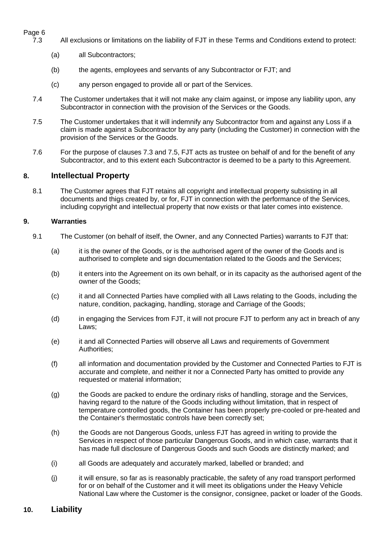# Page 6<br>7.3

- <span id="page-5-0"></span>7.3 All exclusions or limitations on the liability of FJT in these Terms and Conditions extend to protect:
	- (a) all Subcontractors;
	- (b) the agents, employees and servants of any Subcontractor or FJT; and
	- (c) any person engaged to provide all or part of the Services.
- <span id="page-5-1"></span>7.4 The Customer undertakes that it will not make any claim against, or impose any liability upon, any Subcontractor in connection with the provision of the Services or the Goods.
- <span id="page-5-2"></span>7.5 The Customer undertakes that it will indemnify any Subcontractor from and against any Loss if a claim is made against a Subcontractor by any party (including the Customer) in connection with the provision of the Services or the Goods.
- 7.6 For the purpose of clauses [7.3](#page-5-0) and [7.5,](#page-5-2) FJT acts as trustee on behalf of and for the benefit of any Subcontractor, and to this extent each Subcontractor is deemed to be a party to this Agreement.

# **8. Intellectual Property**

8.1 The Customer agrees that FJT retains all copyright and intellectual property subsisting in all documents and thigs created by, or for, FJT in connection with the performance of the Services, including copyright and intellectual property that now exists or that later comes into existence.

## **9. Warranties**

- 9.1 The Customer (on behalf of itself, the Owner, and any Connected Parties) warrants to FJT that:
	- (a) it is the owner of the Goods, or is the authorised agent of the owner of the Goods and is authorised to complete and sign documentation related to the Goods and the Services;
	- (b) it enters into the Agreement on its own behalf, or in its capacity as the authorised agent of the owner of the Goods;
	- (c) it and all Connected Parties have complied with all Laws relating to the Goods, including the nature, condition, packaging, handling, storage and Carriage of the Goods;
	- (d) in engaging the Services from FJT, it will not procure FJT to perform any act in breach of any Laws;
	- (e) it and all Connected Parties will observe all Laws and requirements of Government Authorities;
	- (f) all information and documentation provided by the Customer and Connected Parties to FJT is accurate and complete, and neither it nor a Connected Party has omitted to provide any requested or material information;
	- (g) the Goods are packed to endure the ordinary risks of handling, storage and the Services, having regard to the nature of the Goods including without limitation, that in respect of temperature controlled goods, the Container has been properly pre-cooled or pre-heated and the Container's thermostatic controls have been correctly set;
	- (h) the Goods are not Dangerous Goods, unless FJT has agreed in writing to provide the Services in respect of those particular Dangerous Goods, and in which case, warrants that it has made full disclosure of Dangerous Goods and such Goods are distinctly marked; and
	- (i) all Goods are adequately and accurately marked, labelled or branded; and
	- (j) it will ensure, so far as is reasonably practicable, the safety of any road transport performed for or on behalf of the Customer and it will meet its obligations under the Heavy Vehicle National Law where the Customer is the consignor, consignee, packet or loader of the Goods.

# **10. Liability**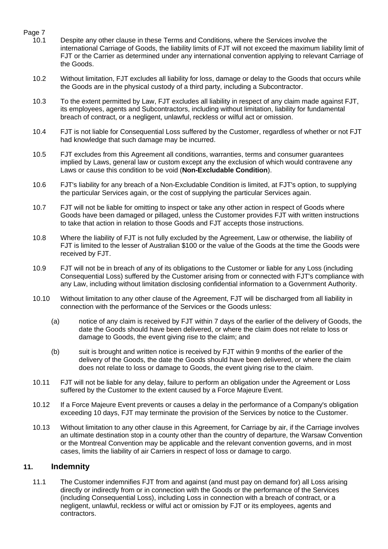# Page 7<br>10.1

- Despite any other clause in these Terms and Conditions, where the Services involve the international Carriage of Goods, the liability limits of FJT will not exceed the maximum liability limit of FJT or the Carrier as determined under any international convention applying to relevant Carriage of the Goods.
- 10.2 Without limitation, FJT excludes all liability for loss, damage or delay to the Goods that occurs while the Goods are in the physical custody of a third party, including a Subcontractor.
- 10.3 To the extent permitted by Law, FJT excludes all liability in respect of any claim made against FJT, its employees, agents and Subcontractors, including without limitation, liability for fundamental breach of contract, or a negligent, unlawful, reckless or wilful act or omission.
- 10.4 FJT is not liable for Consequential Loss suffered by the Customer, regardless of whether or not FJT had knowledge that such damage may be incurred.
- 10.5 FJT excludes from this Agreement all conditions, warranties, terms and consumer guarantees implied by Laws, general law or custom except any the exclusion of which would contravene any Laws or cause this condition to be void (**Non-Excludable Condition**).
- 10.6 FJT's liability for any breach of a Non-Excludable Condition is limited, at FJT's option, to supplying the particular Services again, or the cost of supplying the particular Services again.
- 10.7 FJT will not be liable for omitting to inspect or take any other action in respect of Goods where Goods have been damaged or pillaged, unless the Customer provides FJT with written instructions to take that action in relation to those Goods and FJT accepts those instructions.
- <span id="page-6-0"></span>10.8 Where the liability of FJT is not fully excluded by the Agreement, Law or otherwise, the liability of FJT is limited to the lesser of Australian \$100 or the value of the Goods at the time the Goods were received by FJT.
- 10.9 FJT will not be in breach of any of its obligations to the Customer or liable for any Loss (including Consequential Loss) suffered by the Customer arising from or connected with FJT's compliance with any Law, including without limitation disclosing confidential information to a Government Authority.
- <span id="page-6-1"></span>10.10 Without limitation to any other clause of the Agreement, FJT will be discharged from all liability in connection with the performance of the Services or the Goods unless:
	- (a) notice of any claim is received by FJT within 7 days of the earlier of the delivery of Goods, the date the Goods should have been delivered, or where the claim does not relate to loss or damage to Goods, the event giving rise to the claim; and
	- (b) suit is brought and written notice is received by FJT within 9 months of the earlier of the delivery of the Goods, the date the Goods should have been delivered, or where the claim does not relate to loss or damage to Goods, the event giving rise to the claim.
- 10.11 FJT will not be liable for any delay, failure to perform an obligation under the Agreement or Loss suffered by the Customer to the extent caused by a Force Majeure Event.
- 10.12 If a Force Majeure Event prevents or causes a delay in the performance of a Company's obligation exceeding 10 days, FJT may terminate the provision of the Services by notice to the Customer.
- 10.13 Without limitation to any other clause in this Agreement, for Carriage by air, if the Carriage involves an ultimate destination stop in a county other than the country of departure, the Warsaw Convention or the Montreal Convention may be applicable and the relevant convention governs, and in most cases, limits the liability of air Carriers in respect of loss or damage to cargo.

# **11. Indemnity**

11.1 The Customer indemnifies FJT from and against (and must pay on demand for) all Loss arising directly or indirectly from or in connection with the Goods or the performance of the Services (including Consequential Loss), including Loss in connection with a breach of contract, or a negligent, unlawful, reckless or wilful act or omission by FJT or its employees, agents and contractors.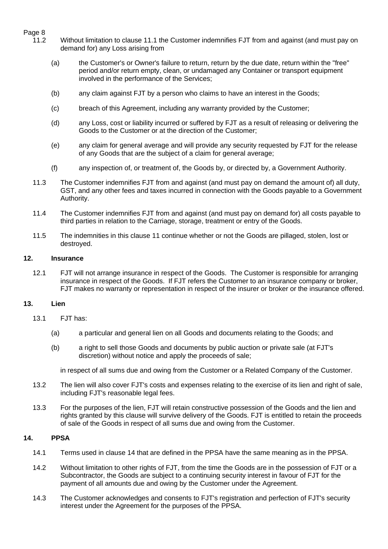# Page 8<br>11.2

- Without limitation to clause 11.1 the Customer indemnifies FJT from and against (and must pay on demand for) any Loss arising from
	- (a) the Customer's or Owner's failure to return, return by the due date, return within the "free" period and/or return empty, clean, or undamaged any Container or transport equipment involved in the performance of the Services;
	- (b) any claim against FJT by a person who claims to have an interest in the Goods;
	- (c) breach of this Agreement, including any warranty provided by the Customer;
	- (d) any Loss, cost or liability incurred or suffered by FJT as a result of releasing or delivering the Goods to the Customer or at the direction of the Customer;
	- (e) any claim for general average and will provide any security requested by FJT for the release of any Goods that are the subject of a claim for general average;
	- (f) any inspection of, or treatment of, the Goods by, or directed by, a Government Authority.
	- 11.3 The Customer indemnifies FJT from and against (and must pay on demand the amount of) all duty, GST, and any other fees and taxes incurred in connection with the Goods payable to a Government Authority.
	- 11.4 The Customer indemnifies FJT from and against (and must pay on demand for) all costs payable to third parties in relation to the Carriage, storage, treatment or entry of the Goods.
	- 11.5 The indemnities in this clause 11 continue whether or not the Goods are pillaged, stolen, lost or destroyed.

#### **12. Insurance**

12.1 FJT will not arrange insurance in respect of the Goods. The Customer is responsible for arranging insurance in respect of the Goods. If FJT refers the Customer to an insurance company or broker, FJT makes no warranty or representation in respect of the insurer or broker or the insurance offered.

### <span id="page-7-0"></span>**13. Lien**

- <span id="page-7-2"></span>13.1 FJT has:
	- (a) a particular and general lien on all Goods and documents relating to the Goods; and
	- (b) a right to sell those Goods and documents by public auction or private sale (at FJT's discretion) without notice and apply the proceeds of sale;

in respect of all sums due and owing from the Customer or a Related Company of the Customer.

- 13.2 The lien will also cover FJT's costs and expenses relating to the exercise of its lien and right of sale, including FJT's reasonable legal fees.
- 13.3 For the purposes of the lien, FJT will retain constructive possession of the Goods and the lien and rights granted by this clause will survive delivery of the Goods. FJT is entitled to retain the proceeds of sale of the Goods in respect of all sums due and owing from the Customer.

### <span id="page-7-1"></span>**14. PPSA**

- 14.1 Terms used in clause 14 that are defined in the PPSA have the same meaning as in the PPSA.
- 14.2 Without limitation to other rights of FJT, from the time the Goods are in the possession of FJT or a Subcontractor, the Goods are subject to a continuing security interest in favour of FJT for the payment of all amounts due and owing by the Customer under the Agreement.
- 14.3 The Customer acknowledges and consents to FJT's registration and perfection of FJT's security interest under the Agreement for the purposes of the PPSA.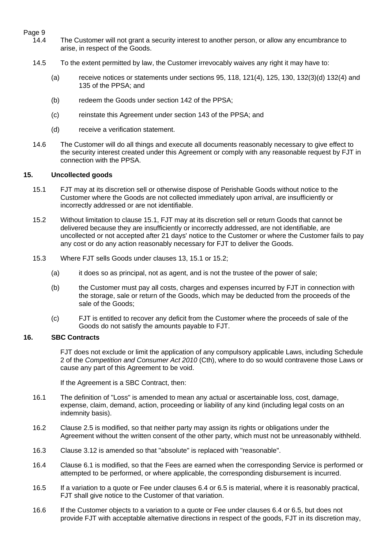# Page 9<br>14.4

- The Customer will not grant a security interest to another person, or allow any encumbrance to arise, in respect of the Goods.
	- 14.5 To the extent permitted by law, the Customer irrevocably waives any right it may have to:
		- (a) receive notices or statements under sections  $95, 118, 121(4), 125, 130, 132(3)(d) 132(4)$  and 135 of the PPSA; and
		- (b) redeem the Goods under section 142 of the PPSA;
		- (c) reinstate this Agreement under section 143 of the PPSA; and
		- (d) receive a verification statement.
	- 14.6 The Customer will do all things and execute all documents reasonably necessary to give effect to the security interest created under this Agreement or comply with any reasonable request by FJT in connection with the PPSA.

#### <span id="page-8-1"></span>**15. Uncollected goods**

- <span id="page-8-2"></span>15.1 FJT may at its discretion sell or otherwise dispose of Perishable Goods without notice to the Customer where the Goods are not collected immediately upon arrival, are insufficiently or incorrectly addressed or are not identifiable.
- <span id="page-8-3"></span>15.2 Without limitation to clause [15.1,](#page-8-2) FJT may at its discretion sell or return Goods that cannot be delivered because they are insufficiently or incorrectly addressed, are not identifiable, are uncollected or not accepted after 21 days' notice to the Customer or where the Customer fails to pay any cost or do any action reasonably necessary for FJT to deliver the Goods.
- 15.3 Where FJT sells Goods under clauses 13, [15.1](#page-8-2) or [15.2;](#page-8-3)
	- (a) it does so as principal, not as agent, and is not the trustee of the power of sale;
	- (b) the Customer must pay all costs, charges and expenses incurred by FJT in connection with the storage, sale or return of the Goods, which may be deducted from the proceeds of the sale of the Goods;
	- (c) FJT is entitled to recover any deficit from the Customer where the proceeds of sale of the Goods do not satisfy the amounts payable to FJT.

### <span id="page-8-0"></span>**16. SBC Contracts**

FJT does not exclude or limit the application of any compulsory applicable Laws, including Schedule 2 of the *Competition and Consumer Act 2010* (Cth), where to do so would contravene those Laws or cause any part of this Agreement to be void.

If the Agreement is a SBC Contract, then:

- 16.1 The definition of "Loss" is amended to mean any actual or ascertainable loss, cost, damage, expense, claim, demand, action, proceeding or liability of any kind (including legal costs on an indemnity basis).
- 16.2 Clause [2.5](#page-1-1) is modified, so that neither party may assign its rights or obligations under the Agreement without the written consent of the other party, which must not be unreasonably withheld.
- 16.3 Clause [3.12](#page-3-1) is amended so that "absolute" is replaced with "reasonable".
- 16.4 Clause [6.1](#page-4-0) is modified, so that the Fees are earned when the corresponding Service is performed or attempted to be performed, or where applicable, the corresponding disbursement is incurred.
- 16.5 If a variation to a quote or Fee under clauses [6.4](#page-4-1) or [6.5](#page-4-2) is material, where it is reasonably practical, FJT shall give notice to the Customer of that variation.
- 16.6 If the Customer objects to a variation to a quote or Fee under clauses [6.4](#page-4-1) or [6.5,](#page-4-2) but does not provide FJT with acceptable alternative directions in respect of the goods, FJT in its discretion may,